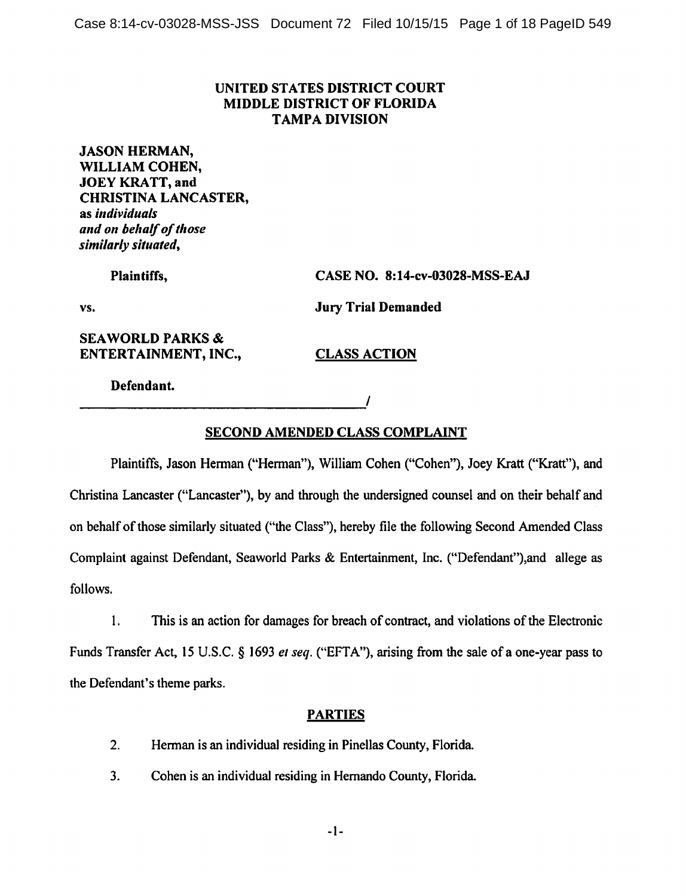## UNITED STATES DISTRICT COURT **MIDDLE DISTRICT OF FLORIDA TAMPA DIVISION**

**JASON HERMAN,** WILLIAM COHEN, **JOEY KRATT, and CHRISTINA LANCASTER,** as individuals and on behalf of those similarly situated,

> Plaintiffs, CASE NO. 8:14-cv-03028-MSS-EAJ

VS.

**SEAWORLD PARKS &** ENTERTAINMENT, INC., **Jury Trial Demanded** 

**CLASS ACTION** 

7

Defendant.

# **SECOND AMENDED CLASS COMPLAINT**

Plaintiffs, Jason Herman ("Herman"), William Cohen ("Cohen"), Joey Kratt ("Kratt"), and Christina Lancaster ("Lancaster"), by and through the undersigned counsel and on their behalf and on behalf of those similarly situated ("the Class"), hereby file the following Second Amended Class Complaint against Defendant, Seaworld Parks & Entertainment, Inc. ("Defendant"), and allege as follows.

 $1.$ This is an action for damages for breach of contract, and violations of the Electronic Funds Transfer Act, 15 U.S.C. § 1693 et seq. ("EFTA"), arising from the sale of a one-year pass to the Defendant's theme parks.

# **PARTIES**

- $2<sub>1</sub>$ Herman is an individual residing in Pinellas County, Florida.
- Cohen is an individual residing in Hernando County, Florida.  $3.$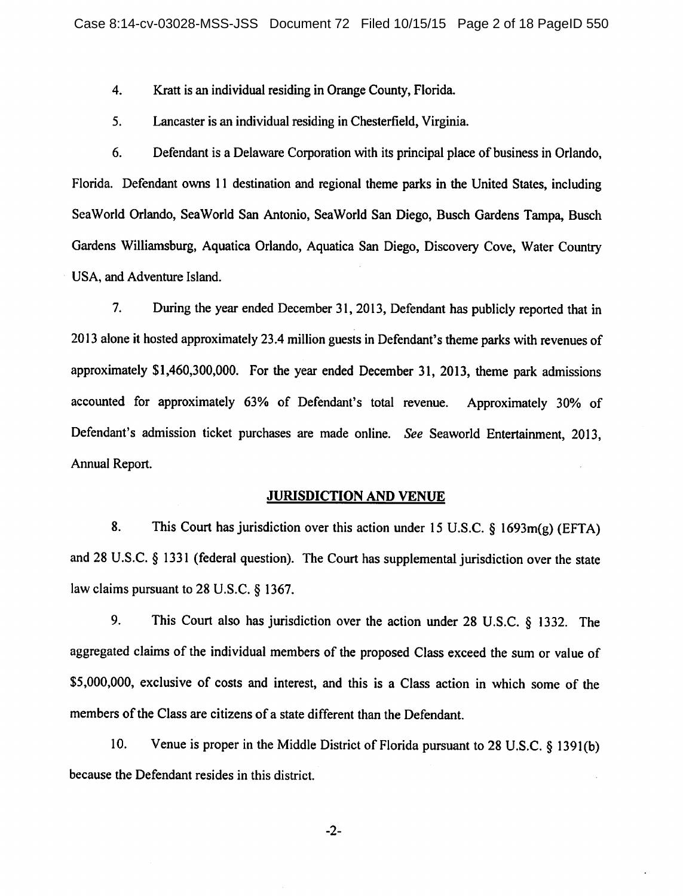4. Kratt is an individual residing in Orange County, Florida.

 $5<sub>1</sub>$ Lancaster is an individual residing in Chesterfield, Virginia.

6. Defendant is a Delaware Corporation with its principal place of business in Orlando. Florida. Defendant owns 11 destination and regional theme parks in the United States, including SeaWorld Orlando, SeaWorld San Antonio, SeaWorld San Diego, Busch Gardens Tampa, Busch Gardens Williamsburg, Aquatica Orlando, Aquatica San Diego, Discovery Cove, Water Country USA, and Adventure Island.

During the year ended December 31, 2013, Defendant has publicly reported that in  $7.$ 2013 alone it hosted approximately 23.4 million guests in Defendant's theme parks with revenues of approximately \$1,460,300,000. For the year ended December 31, 2013, theme park admissions accounted for approximately 63% of Defendant's total revenue. Approximately 30% of Defendant's admission ticket purchases are made online. See Seaworld Entertainment, 2013, Annual Report.

#### **JURISDICTION AND VENUE**

8. This Court has jurisdiction over this action under 15 U.S.C.  $\S$  1693m(g) (EFTA) and 28 U.S.C. § 1331 (federal question). The Court has supplemental jurisdiction over the state law claims pursuant to  $28$  U.S.C.  $§$  1367.

9. This Court also has jurisdiction over the action under 28 U.S.C. § 1332. The aggregated claims of the individual members of the proposed Class exceed the sum or value of \$5,000,000, exclusive of costs and interest, and this is a Class action in which some of the members of the Class are citizens of a state different than the Defendant.

10. Venue is proper in the Middle District of Florida pursuant to 28 U.S.C. § 1391(b) because the Defendant resides in this district.

 $-2-$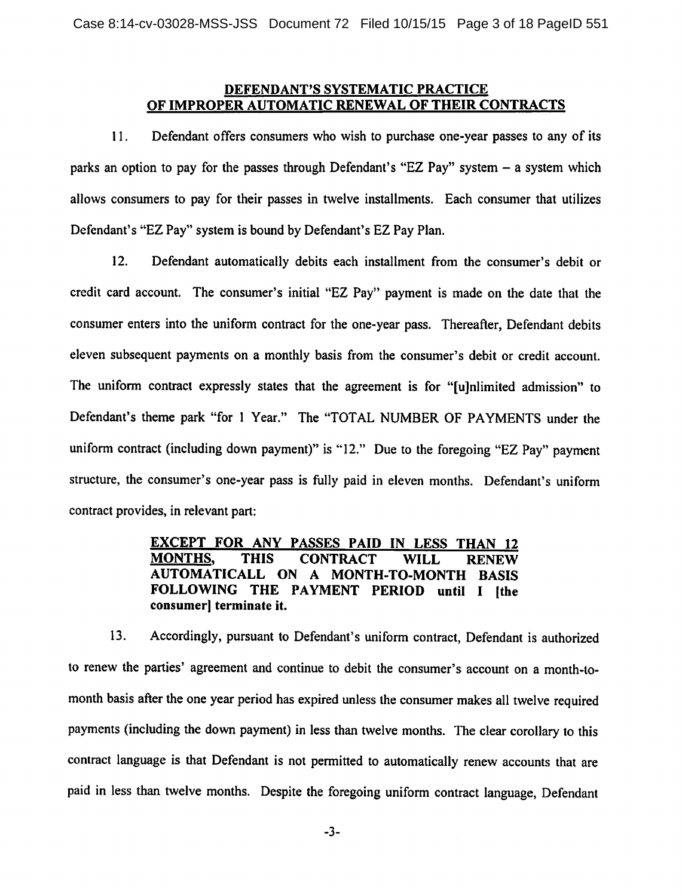### <u>DEFENDANT'S SYSTEMATIC PRACTICE</u> OF IMPROPER AUTOMATIC RENEWAL OF THEIR CONTRACTS

 $11.$ Defendant offers consumers who wish to purchase one-year passes to any of its parks an option to pay for the passes through Defendant's "EZ Pay" system  $-$  a system which allows consumers to pay for their passes in twelve installments. Each consumer that utilizes Defendant's "EZ Pay" system is bound by Defendant's EZ Pay Plan.

 $12.$ Defendant automatically debits each installment from the consumer's debit or credit card account. The consumer's initial "EZ Pay" payment is made on the date that the consumer enters into the uniform contract for the one-year pass. Thereafter, Defendant debits eleven subsequent payments on a monthly basis from the consumer's debit or credit account. The uniform contract expressly states that the agreement is for "[u]nlimited admission" to Defendant's theme park "for 1 Year." The "TOTAL NUMBER OF PAYMENTS under the uniform contract (including down payment)" is "12." Due to the foregoing "EZ Pay" payment structure, the consumer's one-year pass is fully paid in eleven months. Defendant's uniform contract provides, in relevant part:

#### EXCEPT FOR ANY PASSES PAID IN LESS THAN 12 **MONTHS.** THIS WILL. **RENEW CONTRACT** AUTOMATICALL ON A MONTH-TO-MONTH BASIS FOLLOWING THE PAYMENT PERIOD until I lthe consumer] terminate it.

Accordingly, pursuant to Defendant's uniform contract, Defendant is authorized  $13.$ to renew the parties' agreement and continue to debit the consumer's account on a month-tomonth basis after the one year period has expired unless the consumer makes all twelve required payments (including the down payment) in less than twelve months. The clear corollary to this contract language is that Defendant is not permitted to automatically renew accounts that are paid in less than twelve months. Despite the foregoing uniform contract language, Defendant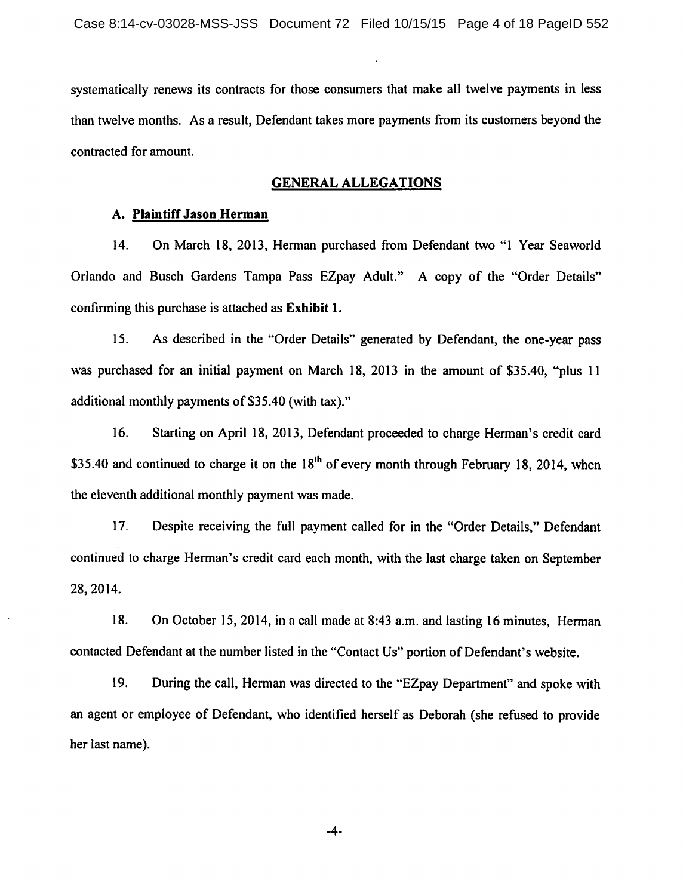systematically renews its contracts for those consumers that make all twelve payments in less than twelve months. As a result, Defendant takes more payments from its customers beyond the contracted for amount.

#### **GENERAL ALLEGATIONS**

#### A. Plaintiff Jason Herman

 $14.$ On March 18, 2013, Herman purchased from Defendant two "1 Year Seaworld Orlando and Busch Gardens Tampa Pass EZpay Adult." A copy of the "Order Details" confirming this purchase is attached as Exhibit 1.

15. As described in the "Order Details" generated by Defendant, the one-year pass was purchased for an initial payment on March 18, 2013 in the amount of \$35.40, "plus 11 additional monthly payments of \$35.40 (with tax)."

 $16.$ Starting on April 18, 2013, Defendant proceeded to charge Herman's credit card \$35.40 and continued to charge it on the  $18<sup>th</sup>$  of every month through February 18, 2014, when the eleventh additional monthly payment was made.

17. Despite receiving the full payment called for in the "Order Details," Defendant continued to charge Herman's credit card each month, with the last charge taken on September 28, 2014.

18. On October 15, 2014, in a call made at 8:43 a.m. and lasting 16 minutes. Herman contacted Defendant at the number listed in the "Contact Us" portion of Defendant's website.

19. During the call, Herman was directed to the "EZpay Department" and spoke with an agent or employee of Defendant, who identified herself as Deborah (she refused to provide her last name).

 $-4-$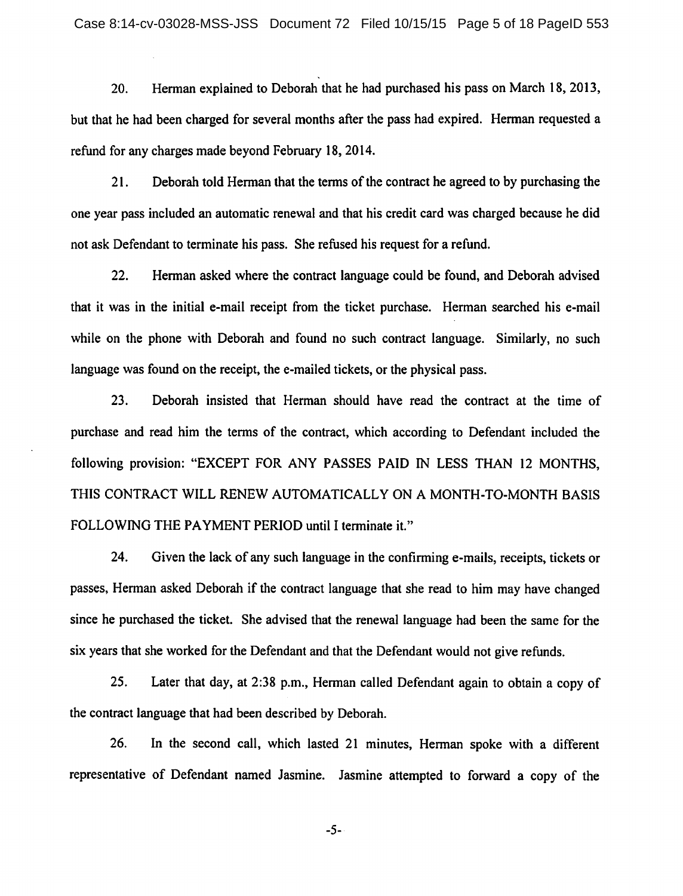Herman explained to Deborah that he had purchased his pass on March 18, 2013, 20. but that he had been charged for several months after the pass had expired. Herman requested a refund for any charges made beyond February 18, 2014.

 $21.$ Deborah told Herman that the terms of the contract he agreed to by purchasing the one year pass included an automatic renewal and that his credit card was charged because he did not ask Defendant to terminate his pass. She refused his request for a refund.

22. Herman asked where the contract language could be found, and Deborah advised that it was in the initial e-mail receipt from the ticket purchase. Herman searched his e-mail while on the phone with Deborah and found no such contract language. Similarly, no such language was found on the receipt, the e-mailed tickets, or the physical pass.

23. Deborah insisted that Herman should have read the contract at the time of purchase and read him the terms of the contract, which according to Defendant included the following provision: "EXCEPT FOR ANY PASSES PAID IN LESS THAN 12 MONTHS, THIS CONTRACT WILL RENEW AUTOMATICALLY ON A MONTH-TO-MONTH BASIS FOLLOWING THE PAYMENT PERIOD until I terminate it."

24. Given the lack of any such language in the confirming e-mails, receipts, tickets or passes. Herman asked Deborah if the contract language that she read to him may have changed since he purchased the ticket. She advised that the renewal language had been the same for the six years that she worked for the Defendant and that the Defendant would not give refunds.

 $25.$ Later that day, at 2:38 p.m., Herman called Defendant again to obtain a copy of the contract language that had been described by Deborah.

26. In the second call, which lasted 21 minutes, Herman spoke with a different representative of Defendant named Jasmine. Jasmine attempted to forward a copy of the

 $-5-$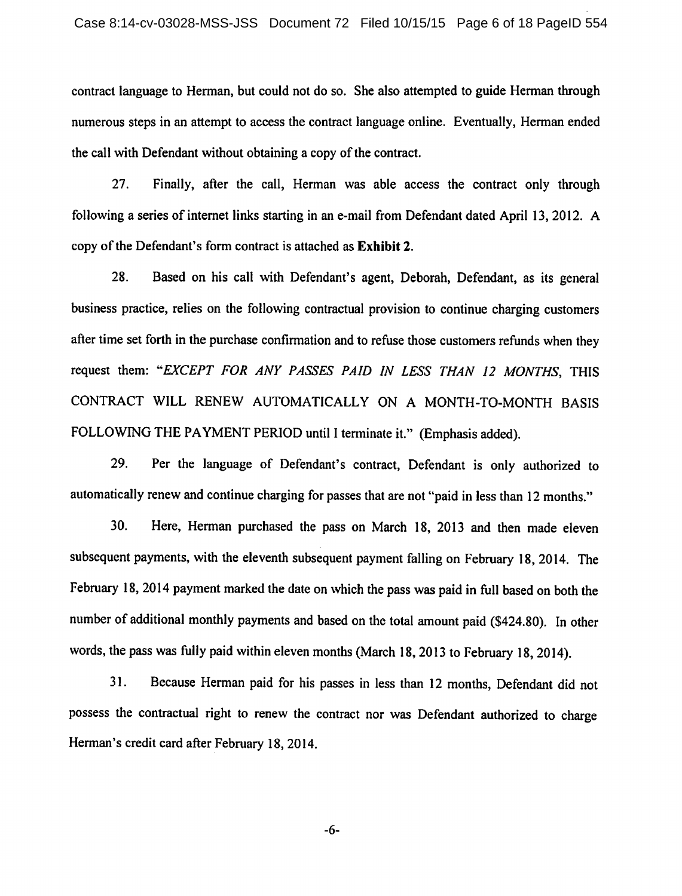contract language to Herman, but could not do so. She also attempted to guide Herman through numerous steps in an attempt to access the contract language online. Eventually, Herman ended the call with Defendant without obtaining a copy of the contract.

27. Finally, after the call, Herman was able access the contract only through following a series of internet links starting in an e-mail from Defendant dated April 13, 2012. A copy of the Defendant's form contract is attached as Exhibit 2.

28. Based on his call with Defendant's agent, Deborah, Defendant, as its general business practice, relies on the following contractual provision to continue charging customers after time set forth in the purchase confirmation and to refuse those customers refunds when they request them: "EXCEPT FOR ANY PASSES PAID IN LESS THAN 12 MONTHS, THIS CONTRACT WILL RENEW AUTOMATICALLY ON A MONTH-TO-MONTH BASIS FOLLOWING THE PAYMENT PERIOD until I terminate it." (Emphasis added).

29. Per the language of Defendant's contract, Defendant is only authorized to automatically renew and continue charging for passes that are not "paid in less than 12 months."

 $30.$ Here, Herman purchased the pass on March 18, 2013 and then made eleven subsequent payments, with the eleventh subsequent payment falling on February 18, 2014. The February 18, 2014 payment marked the date on which the pass was paid in full based on both the number of additional monthly payments and based on the total amount paid (\$424.80). In other words, the pass was fully paid within eleven months (March 18, 2013 to February 18, 2014).

31. Because Herman paid for his passes in less than 12 months. Defendant did not possess the contractual right to renew the contract nor was Defendant authorized to charge Herman's credit card after February 18, 2014.

 $-6-$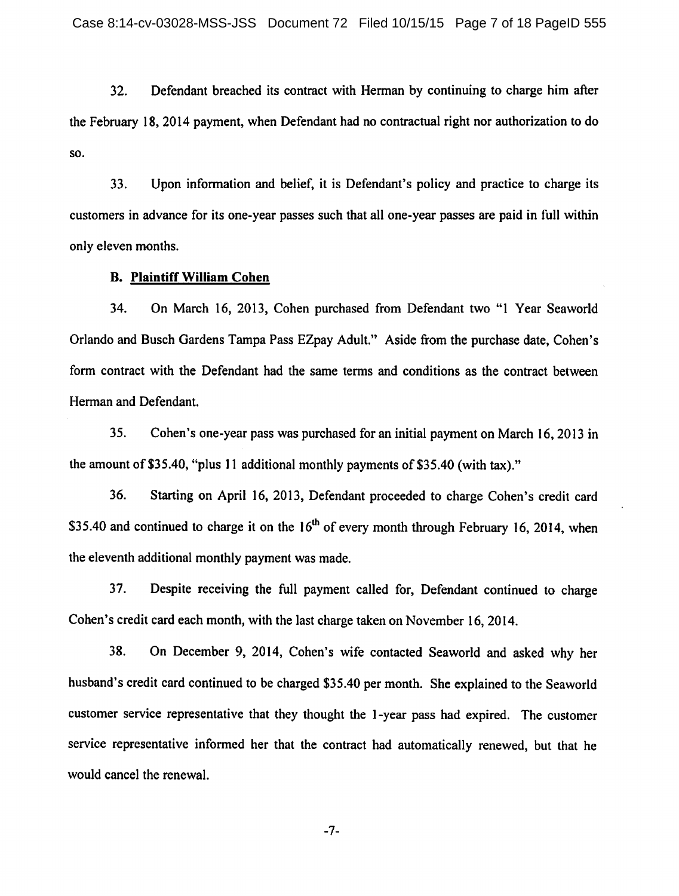$32.$ Defendant breached its contract with Herman by continuing to charge him after the February 18, 2014 payment, when Defendant had no contractual right nor authorization to do SO.

33. Upon information and belief, it is Defendant's policy and practice to charge its customers in advance for its one-year passes such that all one-year passes are paid in full within only eleven months.

#### **B. Plaintiff William Cohen**

34. On March 16, 2013, Cohen purchased from Defendant two "1 Year Seaworld Orlando and Busch Gardens Tampa Pass EZpay Adult." Aside from the purchase date, Cohen's form contract with the Defendant had the same terms and conditions as the contract between Herman and Defendant.

 $35.$ Cohen's one-year pass was purchased for an initial payment on March 16, 2013 in the amount of \$35.40, "plus 11 additional monthly payments of \$35.40 (with tax)."

36. Starting on April 16, 2013, Defendant proceeded to charge Cohen's credit card \$35.40 and continued to charge it on the  $16<sup>th</sup>$  of every month through February 16, 2014, when the eleventh additional monthly payment was made.

 $37.$ Despite receiving the full payment called for, Defendant continued to charge Cohen's credit card each month, with the last charge taken on November 16, 2014.

38. On December 9, 2014, Cohen's wife contacted Seaworld and asked why her husband's credit card continued to be charged \$35.40 per month. She explained to the Seaworld customer service representative that they thought the 1-year pass had expired. The customer service representative informed her that the contract had automatically renewed, but that he would cancel the renewal.

 $-7-$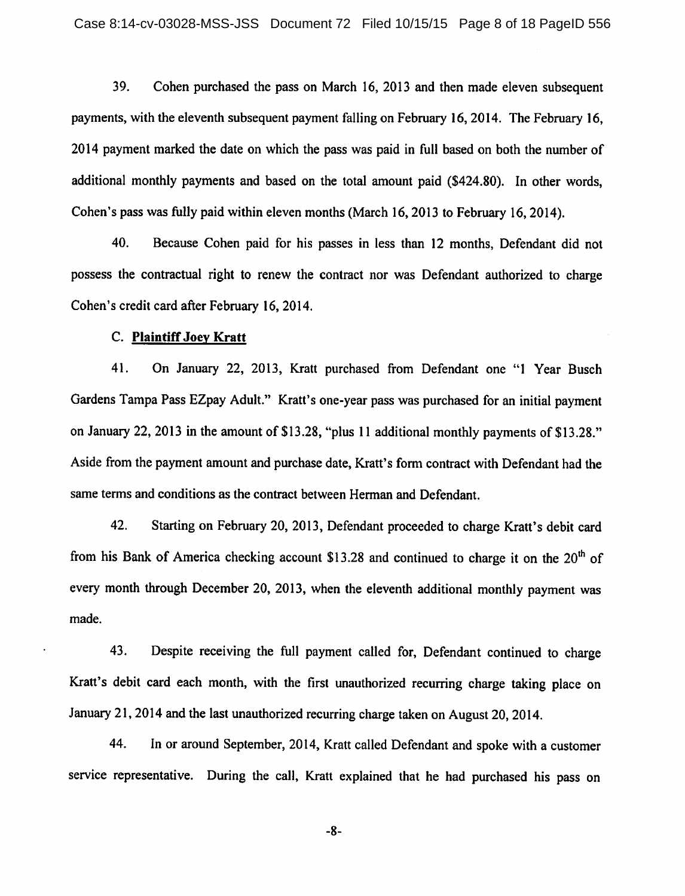39. Cohen purchased the pass on March 16, 2013 and then made eleven subsequent payments, with the eleventh subsequent payment falling on February 16, 2014. The February 16, 2014 payment marked the date on which the pass was paid in full based on both the number of additional monthly payments and based on the total amount paid (\$424.80). In other words, Cohen's pass was fully paid within eleven months (March 16, 2013 to February 16, 2014).

40. Because Cohen paid for his passes in less than 12 months, Defendant did not possess the contractual right to renew the contract nor was Defendant authorized to charge Cohen's credit card after February 16, 2014.

#### C. Plaintiff Joey Kratt

41. On January 22, 2013, Kratt purchased from Defendant one "1 Year Busch Gardens Tampa Pass EZpay Adult." Kratt's one-year pass was purchased for an initial payment on January 22, 2013 in the amount of \$13.28, "plus 11 additional monthly payments of \$13.28." Aside from the payment amount and purchase date, Kratt's form contract with Defendant had the same terms and conditions as the contract between Herman and Defendant.

42. Starting on February 20, 2013, Defendant proceeded to charge Kratt's debit card from his Bank of America checking account \$13.28 and continued to charge it on the  $20<sup>th</sup>$  of every month through December 20, 2013, when the eleventh additional monthly payment was made.

43. Despite receiving the full payment called for, Defendant continued to charge Kratt's debit card each month, with the first unauthorized recurring charge taking place on January 21, 2014 and the last unauthorized recurring charge taken on August 20, 2014.

44. In or around September, 2014, Kratt called Defendant and spoke with a customer service representative. During the call, Kratt explained that he had purchased his pass on

-8-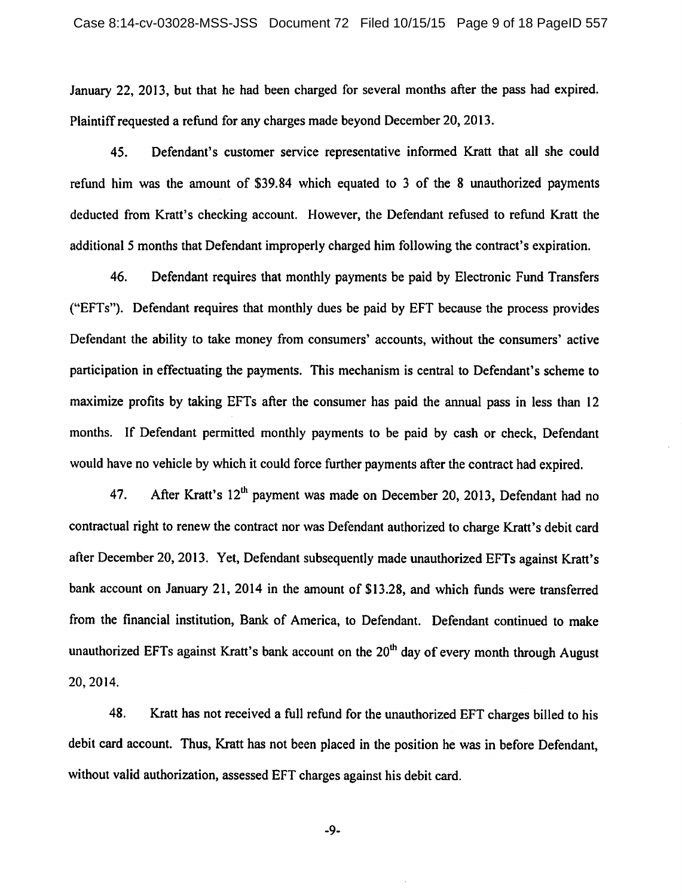January 22, 2013, but that he had been charged for several months after the pass had expired. Plaintiff requested a refund for any charges made beyond December 20, 2013.

45. Defendant's customer service representative informed Kratt that all she could refund him was the amount of \$39.84 which equated to 3 of the 8 unauthorized payments deducted from Kratt's checking account. However, the Defendant refused to refund Kratt the additional 5 months that Defendant improperly charged him following the contract's expiration.

46. Defendant requires that monthly payments be paid by Electronic Fund Transfers ("EFTs"). Defendant requires that monthly dues be paid by EFT because the process provides Defendant the ability to take money from consumers' accounts, without the consumers' active participation in effectuating the payments. This mechanism is central to Defendant's scheme to maximize profits by taking EFTs after the consumer has paid the annual pass in less than 12 months. If Defendant permitted monthly payments to be paid by cash or check, Defendant would have no vehicle by which it could force further payments after the contract had expired.

After Kratt's 12<sup>th</sup> payment was made on December 20, 2013, Defendant had no 47. contractual right to renew the contract nor was Defendant authorized to charge Kratt's debit card after December 20, 2013. Yet, Defendant subsequently made unauthorized EFTs against Kratt's bank account on January 21, 2014 in the amount of \$13.28, and which funds were transferred from the financial institution, Bank of America, to Defendant. Defendant continued to make unauthorized EFTs against Kratt's bank account on the 20<sup>th</sup> day of every month through August 20, 2014.

48. Kratt has not received a full refund for the unauthorized EFT charges billed to his debit card account. Thus, Kratt has not been placed in the position he was in before Defendant, without valid authorization, assessed EFT charges against his debit card.

 $-9-$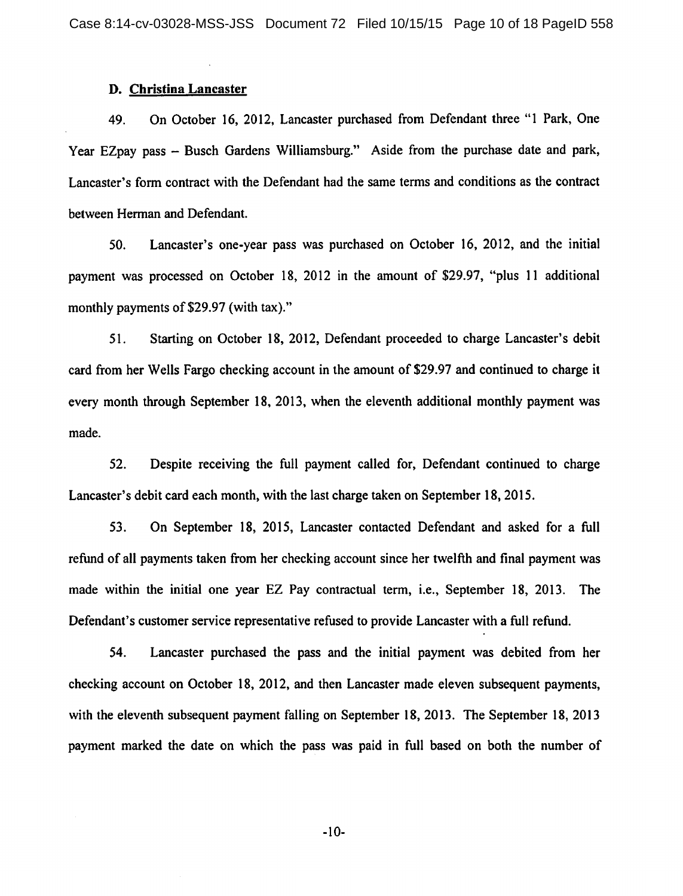#### D. Christina Lancaster

On October 16, 2012, Lancaster purchased from Defendant three "1 Park, One 49. Year EZpay pass – Busch Gardens Williamsburg." Aside from the purchase date and park, Lancaster's form contract with the Defendant had the same terms and conditions as the contract between Herman and Defendant.

Lancaster's one-year pass was purchased on October 16, 2012, and the initial 50. payment was processed on October 18, 2012 in the amount of \$29.97, "plus 11 additional monthly payments of \$29.97 (with tax)."

51. Starting on October 18, 2012, Defendant proceeded to charge Lancaster's debit card from her Wells Fargo checking account in the amount of \$29.97 and continued to charge it every month through September 18, 2013, when the eleventh additional monthly payment was made.

 $52.$ Despite receiving the full payment called for, Defendant continued to charge Lancaster's debit card each month, with the last charge taken on September 18, 2015.

53. On September 18, 2015, Lancaster contacted Defendant and asked for a full refund of all payments taken from her checking account since her twelfth and final payment was made within the initial one year EZ Pay contractual term, i.e., September 18, 2013. The Defendant's customer service representative refused to provide Lancaster with a full refund.

54. Lancaster purchased the pass and the initial payment was debited from her checking account on October 18, 2012, and then Lancaster made eleven subsequent payments, with the eleventh subsequent payment falling on September 18, 2013. The September 18, 2013 payment marked the date on which the pass was paid in full based on both the number of

 $-10-$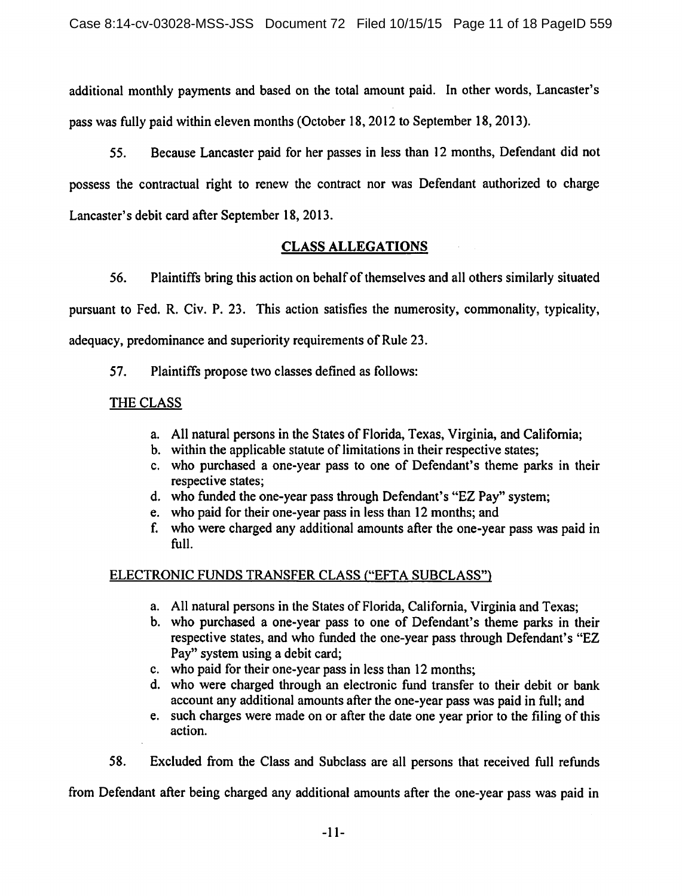additional monthly payments and based on the total amount paid. In other words, Lancaster's pass was fully paid within eleven months (October 18, 2012 to September 18, 2013).

Because Lancaster paid for her passes in less than 12 months, Defendant did not 55. possess the contractual right to renew the contract nor was Defendant authorized to charge Lancaster's debit card after September 18, 2013.

# **CLASS ALLEGATIONS**

56. Plaintiffs bring this action on behalf of themselves and all others similarly situated pursuant to Fed. R. Civ. P. 23. This action satisfies the numerosity, commonality, typicality, adequacy, predominance and superiority requirements of Rule 23.

57. Plaintiffs propose two classes defined as follows:

# **THE CLASS**

- a. All natural persons in the States of Florida, Texas, Virginia, and California:
- b. within the applicable statute of limitations in their respective states;
- c. who purchased a one-year pass to one of Defendant's theme parks in their respective states:
- d. who funded the one-year pass through Defendant's "EZ Pay" system;
- e. who paid for their one-year pass in less than 12 months; and
- f. who were charged any additional amounts after the one-year pass was paid in full.

# ELECTRONIC FUNDS TRANSFER CLASS ("EFTA SUBCLASS")

- a. All natural persons in the States of Florida, California, Virginia and Texas;
- b. who purchased a one-year pass to one of Defendant's theme parks in their respective states, and who funded the one-year pass through Defendant's "EZ Pay" system using a debit card;
- c. who paid for their one-year pass in less than 12 months:
- d. who were charged through an electronic fund transfer to their debit or bank account any additional amounts after the one-year pass was paid in full; and
- e. such charges were made on or after the date one year prior to the filing of this action.
- 58. Excluded from the Class and Subclass are all persons that received full refunds

from Defendant after being charged any additional amounts after the one-year pass was paid in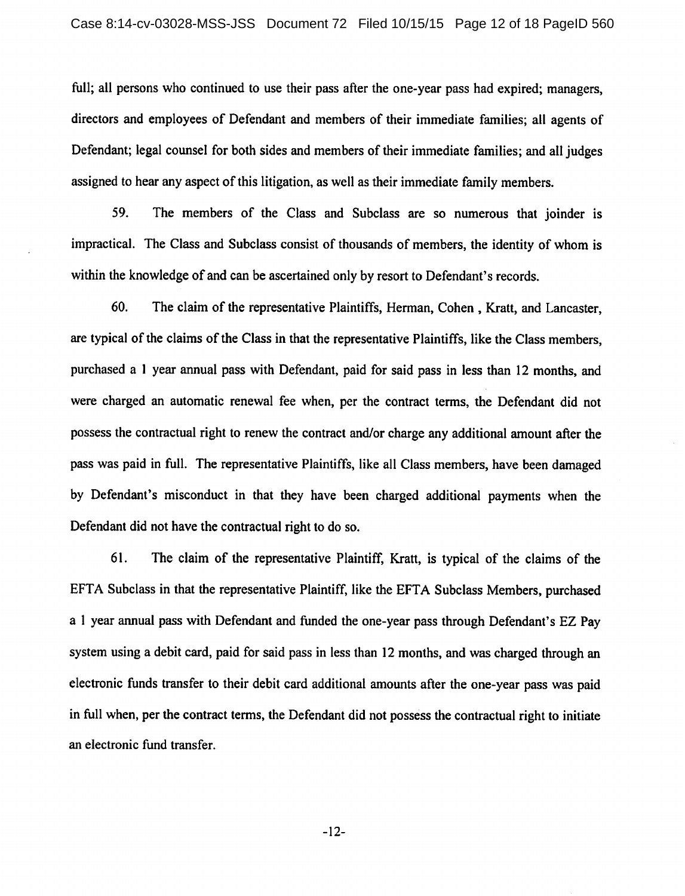full; all persons who continued to use their pass after the one-year pass had expired; managers, directors and employees of Defendant and members of their immediate families; all agents of Defendant; legal counsel for both sides and members of their immediate families; and all judges assigned to hear any aspect of this litigation, as well as their immediate family members.

59. The members of the Class and Subclass are so numerous that ioinder is impractical. The Class and Subclass consist of thousands of members, the identity of whom is within the knowledge of and can be ascertained only by resort to Defendant's records.

60. The claim of the representative Plaintiffs, Herman, Cohen, Kratt, and Lancaster, are typical of the claims of the Class in that the representative Plaintiffs, like the Class members, purchased a 1 year annual pass with Defendant, paid for said pass in less than 12 months, and were charged an automatic renewal fee when, per the contract terms, the Defendant did not possess the contractual right to renew the contract and/or charge any additional amount after the pass was paid in full. The representative Plaintiffs, like all Class members, have been damaged by Defendant's misconduct in that they have been charged additional payments when the Defendant did not have the contractual right to do so.

61. The claim of the representative Plaintiff, Kratt, is typical of the claims of the EFTA Subclass in that the representative Plaintiff, like the EFTA Subclass Members, purchased a 1 year annual pass with Defendant and funded the one-year pass through Defendant's EZ Pay system using a debit card, paid for said pass in less than 12 months, and was charged through an electronic funds transfer to their debit card additional amounts after the one-year pass was paid in full when, per the contract terms, the Defendant did not possess the contractual right to initiate an electronic fund transfer.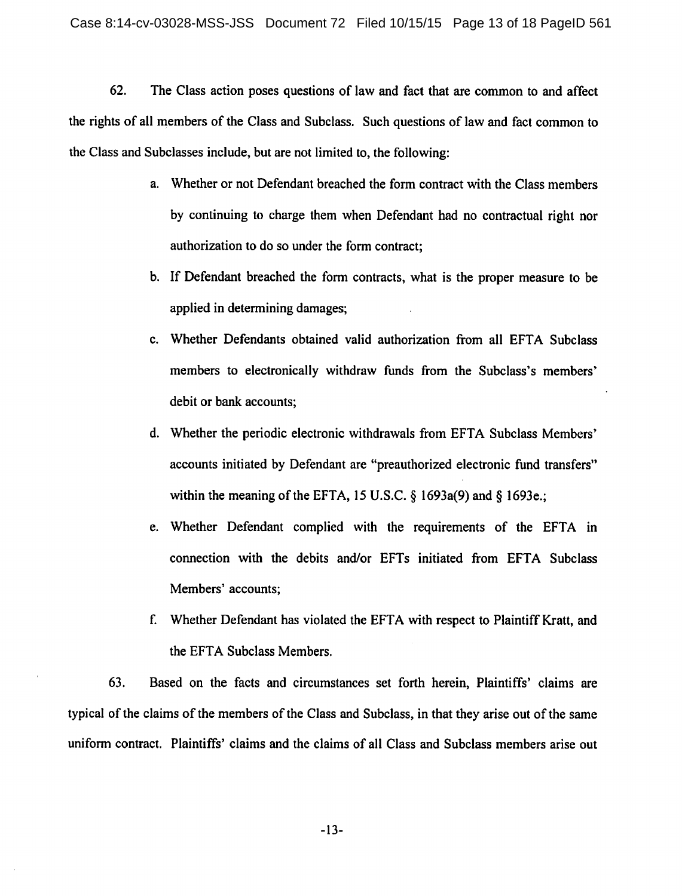62. The Class action poses questions of law and fact that are common to and affect the rights of all members of the Class and Subclass. Such questions of law and fact common to the Class and Subclasses include, but are not limited to, the following:

- a. Whether or not Defendant breached the form contract with the Class members by continuing to charge them when Defendant had no contractual right nor authorization to do so under the form contract;
- b. If Defendant breached the form contracts, what is the proper measure to be applied in determining damages;
- c. Whether Defendants obtained valid authorization from all EFTA Subclass members to electronically withdraw funds from the Subclass's members' debit or bank accounts;
- d. Whether the periodic electronic withdrawals from EFTA Subclass Members' accounts initiated by Defendant are "preauthorized electronic fund transfers" within the meaning of the EFTA, 15 U.S.C.  $\S$  1693a(9) and  $\S$  1693e.;
- e. Whether Defendant complied with the requirements of the EFTA in connection with the debits and/or EFTs initiated from EFTA Subclass Members' accounts;
- f. Whether Defendant has violated the EFTA with respect to Plaintiff Kratt, and the EFTA Subclass Members.

63. Based on the facts and circumstances set forth herein, Plaintiffs' claims are typical of the claims of the members of the Class and Subclass, in that they arise out of the same uniform contract. Plaintiffs' claims and the claims of all Class and Subclass members arise out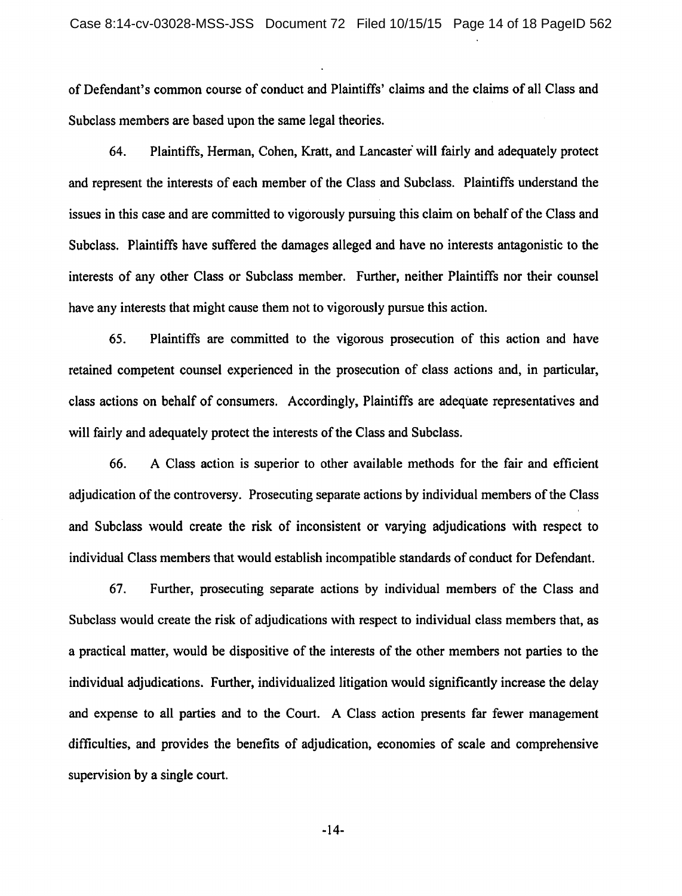of Defendant's common course of conduct and Plaintiffs' claims and the claims of all Class and Subclass members are based upon the same legal theories.

64. Plaintiffs, Herman, Cohen, Kratt, and Lancaster will fairly and adequately protect and represent the interests of each member of the Class and Subclass. Plaintiffs understand the issues in this case and are committed to vigorously pursuing this claim on behalf of the Class and Subclass. Plaintiffs have suffered the damages alleged and have no interests antagonistic to the interests of any other Class or Subclass member. Further, neither Plaintiffs nor their counsel have any interests that might cause them not to vigorously pursue this action.

65. Plaintiffs are committed to the vigorous prosecution of this action and have retained competent counsel experienced in the prosecution of class actions and, in particular, class actions on behalf of consumers. Accordingly, Plaintiffs are adequate representatives and will fairly and adequately protect the interests of the Class and Subclass.

66. A Class action is superior to other available methods for the fair and efficient adjudication of the controversy. Prosecuting separate actions by individual members of the Class and Subclass would create the risk of inconsistent or varying adjudications with respect to individual Class members that would establish incompatible standards of conduct for Defendant.

67. Further, prosecuting separate actions by individual members of the Class and Subclass would create the risk of adjudications with respect to individual class members that, as a practical matter, would be dispositive of the interests of the other members not parties to the individual adjudications. Further, individualized litigation would significantly increase the delay and expense to all parties and to the Court. A Class action presents far fewer management difficulties, and provides the benefits of adjudication, economies of scale and comprehensive supervision by a single court.

 $-14-$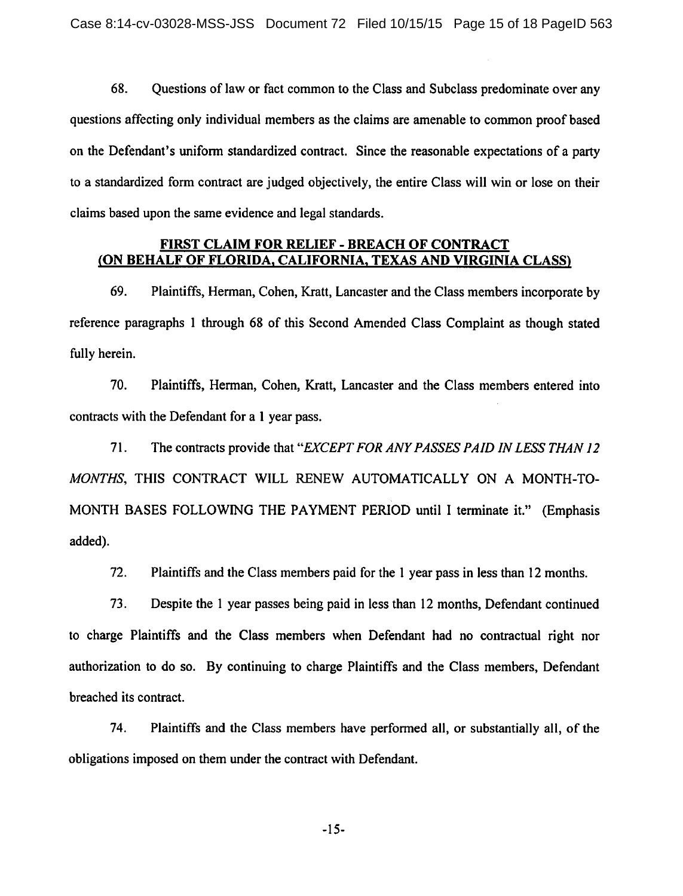68. Questions of law or fact common to the Class and Subclass predominate over any questions affecting only individual members as the claims are amenable to common proof based on the Defendant's uniform standardized contract. Since the reasonable expectations of a party to a standardized form contract are judged objectively, the entire Class will win or lose on their claims based upon the same evidence and legal standards.

# FIRST CLAIM FOR RELIEF - BREACH OF CONTRACT (ON BEHALF OF FLORIDA, CALIFORNIA, TEXAS AND VIRGINIA CLASS)

69. Plaintiffs, Herman, Cohen, Kratt, Lancaster and the Class members incorporate by reference paragraphs 1 through 68 of this Second Amended Class Complaint as though stated fully herein.

70. Plaintiffs, Herman, Cohen, Kratt, Lancaster and the Class members entered into contracts with the Defendant for a 1 year pass.

71. The contracts provide that "EXCEPT FOR ANY PASSES PAID IN LESS THAN 12 MONTHS, THIS CONTRACT WILL RENEW AUTOMATICALLY ON A MONTH-TO-MONTH BASES FOLLOWING THE PAYMENT PERIOD until I terminate it." (Emphasis added).

 $72.$ Plaintiffs and the Class members paid for the 1 year pass in less than 12 months.

73. Despite the 1 year passes being paid in less than 12 months, Defendant continued to charge Plaintiffs and the Class members when Defendant had no contractual right nor authorization to do so. By continuing to charge Plaintiffs and the Class members, Defendant breached its contract.

74. Plaintiffs and the Class members have performed all, or substantially all, of the obligations imposed on them under the contract with Defendant.

 $-15-$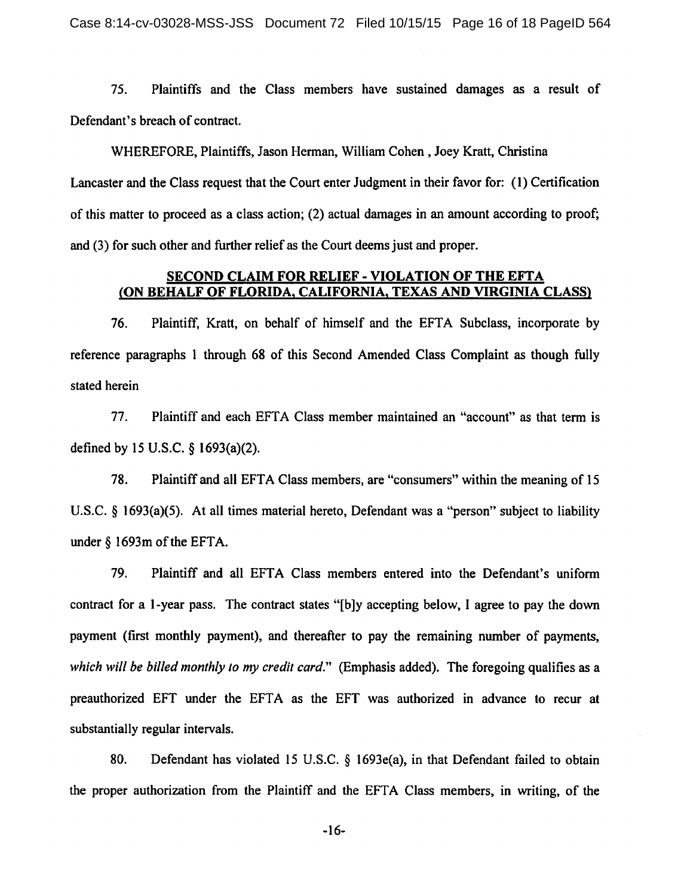75. Plaintiffs and the Class members have sustained damages as a result of Defendant's breach of contract.

WHEREFORE, Plaintiffs, Jason Herman, William Cohen, Joey Kratt, Christina Lancaster and the Class request that the Court enter Judgment in their favor for: (1) Certification of this matter to proceed as a class action; (2) actual damages in an amount according to proof; and (3) for such other and further relief as the Court deems just and proper.

### SECOND CLAIM FOR RELIEF - VIOLATION OF THE EFTA (ON BEHALF OF FLORIDA, CALIFORNIA, TEXAS AND VIRGINIA CLASS)

Plaintiff, Kratt, on behalf of himself and the EFTA Subclass, incorporate by 76. reference paragraphs 1 through 68 of this Second Amended Class Complaint as though fully stated herein

77. Plaintiff and each EFTA Class member maintained an "account" as that term is defined by 15 U.S.C. § 1693(a)(2).

78. Plaintiff and all EFTA Class members, are "consumers" within the meaning of 15 U.S.C. § 1693(a)(5). At all times material hereto, Defendant was a "person" subject to liability under  $\S$  1693m of the EFTA.

79. Plaintiff and all EFTA Class members entered into the Defendant's uniform contract for a 1-year pass. The contract states "[b]y accepting below, I agree to pay the down payment (first monthly payment), and thereafter to pay the remaining number of payments, which will be billed monthly to my credit card." (Emphasis added). The foregoing qualifies as a preauthorized EFT under the EFTA as the EFT was authorized in advance to recur at substantially regular intervals.

80. Defendant has violated 15 U.S.C. § 1693e(a), in that Defendant failed to obtain the proper authorization from the Plaintiff and the EFTA Class members, in writing, of the

 $-16-$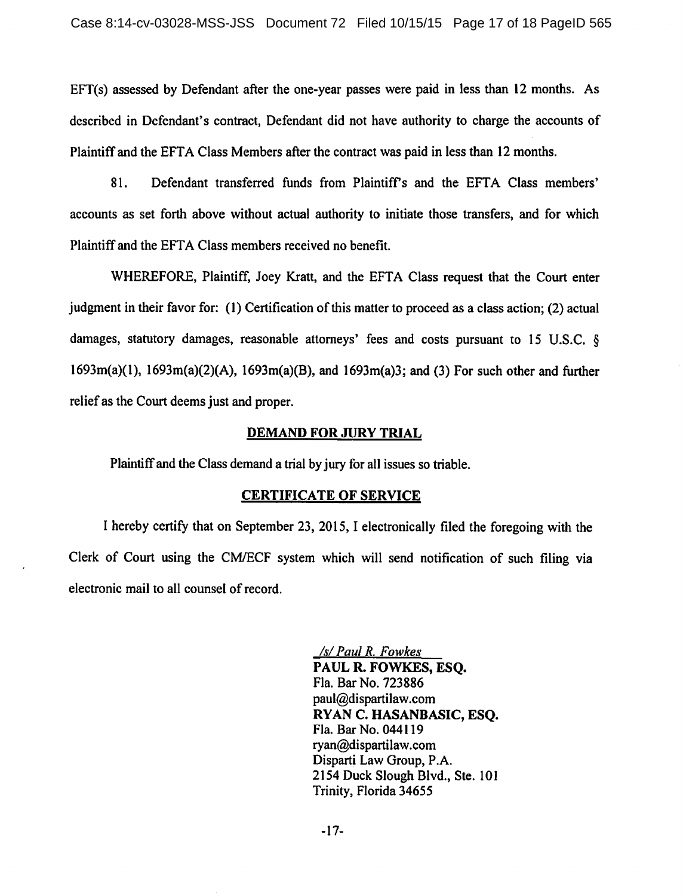$EFT(s)$  assessed by Defendant after the one-year passes were paid in less than 12 months. As described in Defendant's contract. Defendant did not have authority to charge the accounts of Plaintiff and the EFTA Class Members after the contract was paid in less than 12 months.

Defendant transferred funds from Plaintiff's and the EFTA Class members' 81. accounts as set forth above without actual authority to initiate those transfers, and for which Plaintiff and the EFTA Class members received no benefit.

WHEREFORE, Plaintiff, Joey Kratt, and the EFTA Class request that the Court enter judgment in their favor for: (1) Certification of this matter to proceed as a class action; (2) actual damages, statutory damages, reasonable attorneys' fees and costs pursuant to 15 U.S.C. §  $1693m(a)(1)$ ,  $1693m(a)(2)(A)$ ,  $1693m(a)(B)$ , and  $1693m(a)3$ ; and (3) For such other and further relief as the Court deems just and proper.

#### **DEMAND FOR JURY TRIAL**

Plaintiff and the Class demand a trial by jury for all issues so triable.

#### **CERTIFICATE OF SERVICE**

I hereby certify that on September 23, 2015, I electronically filed the foregoing with the Clerk of Court using the CM/ECF system which will send notification of such filing via electronic mail to all counsel of record.

> /s/ Paul R. Fowkes PAUL R. FOWKES, ESQ. Fla. Bar No. 723886 paul@dispartilaw.com RYAN C. HASANBASIC, ESQ. Fla. Bar No. 044119 ryan@dispartilaw.com Disparti Law Group, P.A. 2154 Duck Slough Blvd., Ste. 101 Trinity, Florida 34655